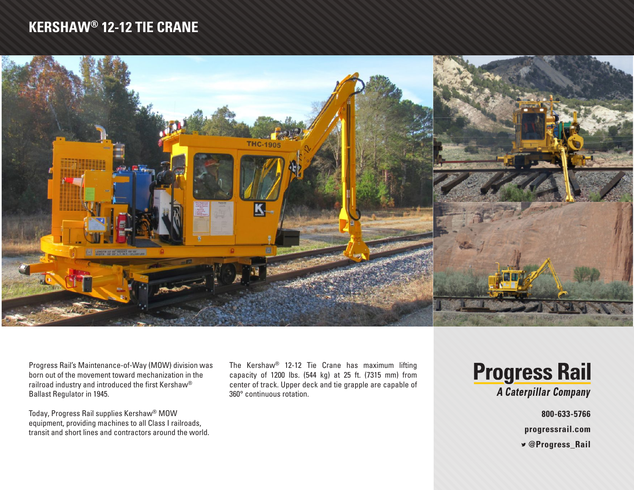## **KERSHAW® 12-12 TIE CRANE**



Progress Rail's Maintenance-of-Way (MOW) division was born out of the movement toward mechanization in the railroad industry and introduced the first Kershaw® Ballast Regulator in 1945.

Today, Progress Rail supplies Kershaw® MOW equipment, providing machines to all Class I railroads, transit and short lines and contractors around the world. The Kershaw® 12-12 Tie Crane has maximum lifting capacity of 1200 lbs. (544 kg) at 25 ft. (7315 mm) from center of track. Upper deck and tie grapple are capable of 360° continuous rotation.

**Progress Rail** 

A Caterpillar Company

**800-633-5766**

**progressrail.com**

 **@Progress\_Rail**